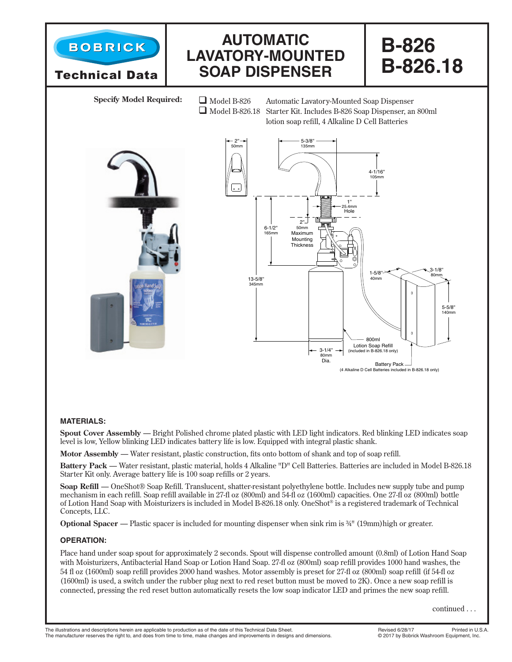

## **MATERIALS:**

**Spout Cover Assembly** — Bright Polished chrome plated plastic with LED light indicators. Red blinking LED indicates soap level is low, Yellow blinking LED indicates battery life is low. Equipped with integral plastic shank.

**Motor Assembly** — Water resistant, plastic construction, fits onto bottom of shank and top of soap refill.

**Battery Pack** — Water resistant, plastic material, holds 4 Alkaline "D" Cell Batteries. Batteries are included in Model B-826.18 Starter Kit only. Average battery life is 100 soap refills or 2 years.

**Soap Refill** — OneShot® Soap Refill. Translucent, shatter-resistant polyethylene bottle. Includes new supply tube and pump mechanism in each refill. Soap refill available in 27-fl oz (800ml) and 54-fl oz (1600ml) capacities. One 27-fl oz (800ml) bottle of Lotion Hand Soap with Moisturizers is included in Model B-826.18 only. OneShot® is a registered trademark of Technical Concepts, LLC.

**Optional Spacer — Plastic spacer is included for mounting dispenser when sink rim is**  $\frac{3}{4}$ **" (19mm) high or greater.** 

## **OPERATION:**

Place hand under soap spout for approximately 2 seconds. Spout will dispense controlled amount (0.8ml) of Lotion Hand Soap with Moisturizers, Antibacterial Hand Soap or Lotion Hand Soap. 27-fl oz (800ml) soap refill provides 1000 hand washes, the 54 fl oz (1600ml) soap refill provides 2000 hand washes. Motor assembly is preset for 27-fl oz (800ml) soap refill (if 54-fl oz (1600ml) is used, a switch under the rubber plug next to red reset button must be moved to 2K). Once a new soap refill is connected, pressing the red reset button automatically resets the low soap indicator LED and primes the new soap refill.

continued . . .